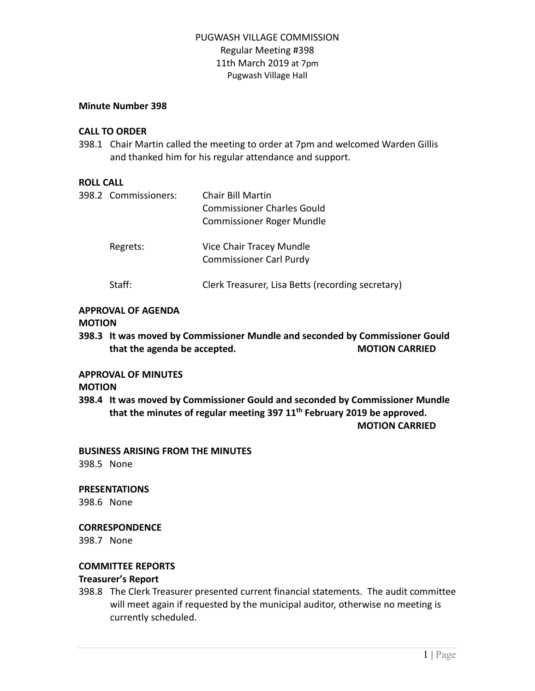# PUGWASH VILLAGE COMMISSION Regular Meeting #398 11th March 2019 at 7pm Pugwash Village Hall

## **Minute Number 398**

## **CALL TO ORDER**

398.1 Chair Martin called the meeting to order at 7pm and welcomed Warden Gillis and thanked him for his regular attendance and support.

## **ROLL CALL**

| 398.2 Commissioners: | Chair Bill Martin<br><b>Commissioner Charles Gould</b><br><b>Commissioner Roger Mundle</b> |
|----------------------|--------------------------------------------------------------------------------------------|
| Regrets:             | Vice Chair Tracey Mundle<br><b>Commissioner Carl Purdy</b>                                 |
| Staff:               | Clerk Treasurer, Lisa Betts (recording secretary)                                          |

#### **APPROVAL OF AGENDA**

#### **MOTION**

**398.3 It was moved by Commissioner Mundle and seconded by Commissioner Gould that the agenda be accepted. MOTION CARRIED**

## **APPROVAL OF MINUTES**

#### **MOTION**

**398.4 It was moved by Commissioner Gould and seconded by Commissioner Mundle that the minutes of regular meeting 397 11 th February 2019 be approved. MOTION CARRIED**

**BUSINESS ARISING FROM THE MINUTES**

398.5 None

#### **PRESENTATIONS**

398.6 None

#### **CORRESPONDENCE**

398.7 None

#### **COMMITTEE REPORTS**

#### **Treasurer's Report**

398.8 The Clerk Treasurer presented current financial statements. The audit committee will meet again if requested by the municipal auditor, otherwise no meeting is currently scheduled.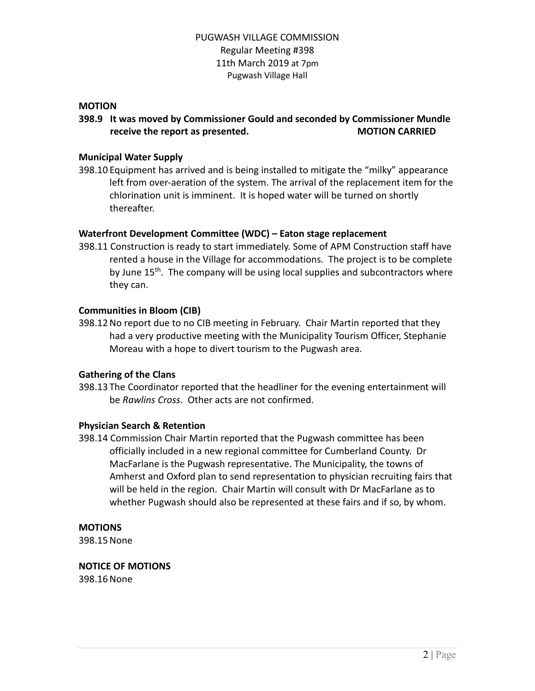# PUGWASH VILLAGE COMMISSION Regular Meeting #398 11th March 2019 at 7pm Pugwash Village Hall

## **MOTION**

# **398.9 It was moved by Commissioner Gould and seconded by Commissioner Mundle receive the report as presented. MOTION CARRIED**

## **Municipal Water Supply**

398.10 Equipment has arrived and is being installed to mitigate the "milky" appearance left from over-aeration of the system. The arrival of the replacement item for the chlorination unit is imminent. It is hoped water will be turned on shortly thereafter.

## **Waterfront Development Committee (WDC) – Eaton stage replacement**

398.11 Construction is ready to start immediately. Some of APM Construction staff have rented a house in the Village for accommodations. The project is to be complete by June 15<sup>th</sup>. The company will be using local supplies and subcontractors where they can.

## **Communities in Bloom (CIB)**

398.12No report due to no CIB meeting in February. Chair Martin reported that they had a very productive meeting with the Municipality Tourism Officer, Stephanie Moreau with a hope to divert tourism to the Pugwash area.

## **Gathering of the Clans**

398.13 The Coordinator reported that the headliner for the evening entertainment will be *Rawlins Cross*. Other acts are not confirmed.

#### **Physician Search & Retention**

398.14 Commission Chair Martin reported that the Pugwash committee has been officially included in a new regional committee for Cumberland County. Dr MacFarlane is the Pugwash representative. The Municipality, the towns of Amherst and Oxford plan to send representation to physician recruiting fairs that will be held in the region. Chair Martin will consult with Dr MacFarlane as to whether Pugwash should also be represented at these fairs and if so, by whom.

#### **MOTIONS**

398.15None

# **NOTICE OF MOTIONS**

398.16None